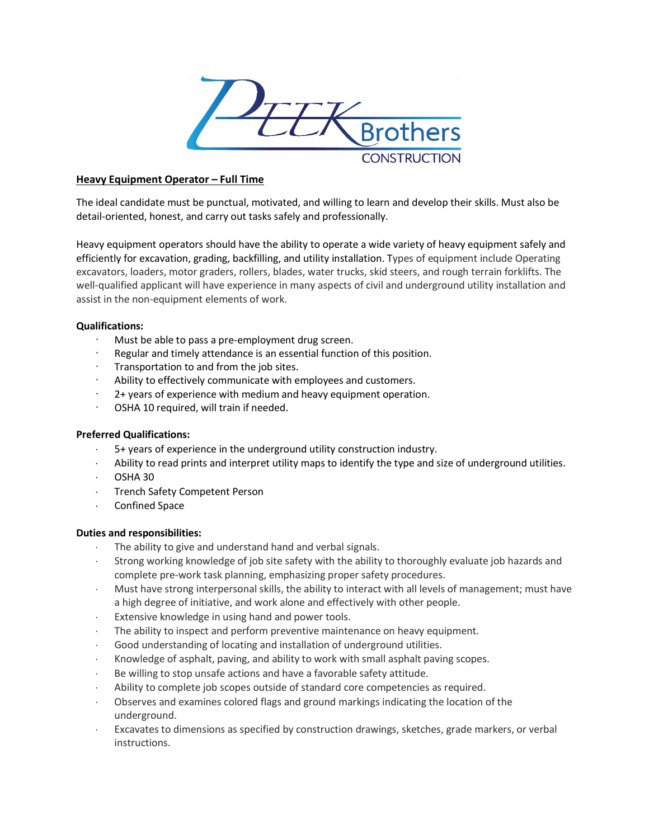

# **Heavy Equipment Operator – Full Time**

The ideal candidate must be punctual, motivated, and willing to learn and develop their skills. Must also be detail-oriented, honest, and carry out tasks safely and professionally.

Heavy equipment operators should have the ability to operate a wide variety of heavy equipment safely and efficiently for excavation, grading, backfilling, and utility installation. Types of equipment include Operating excavators, loaders, motor graders, rollers, blades, water trucks, skid steers, and rough terrain forklifts. The well-qualified applicant will have experience in many aspects of civil and underground utility installation and assist in the non-equipment elements of work.

# **Qualifications:**

- Must be able to pass a pre-employment drug screen.
- Regular and timely attendance is an essential function of this position.
- Transportation to and from the job sites.
- Ability to effectively communicate with employees and customers.
- · 2+ years of experience with medium and heavy equipment operation.
- · OSHA 10 required, will train if needed.

### **Preferred Qualifications:**

- ⋅ 5+ years of experience in the underground utility construction industry.
- ⋅ Ability to read prints and interpret utility maps to identify the type and size of underground utilities.
- ⋅ OSHA 30
- ⋅ Trench Safety Competent Person
- ⋅ Confined Space

### **Duties and responsibilities:**

- The ability to give and understand hand and verbal signals.
- ⋅ Strong working knowledge of job site safety with the ability to thoroughly evaluate job hazards and complete pre-work task planning, emphasizing proper safety procedures.
- ⋅ Must have strong interpersonal skills, the ability to interact with all levels of management; must have a high degree of initiative, and work alone and effectively with other people.
- ⋅ Extensive knowledge in using hand and power tools.
- ⋅ The ability to inspect and perform preventive maintenance on heavy equipment.
- ⋅ Good understanding of locating and installation of underground utilities.
- Knowledge of asphalt, paving, and ability to work with small asphalt paving scopes.
- ⋅ Be willing to stop unsafe actions and have a favorable safety attitude.
- ⋅ Ability to complete job scopes outside of standard core competencies as required.
- ⋅ Observes and examines colored flags and ground markings indicating the location of the underground.
- Excavates to dimensions as specified by construction drawings, sketches, grade markers, or verbal instructions.